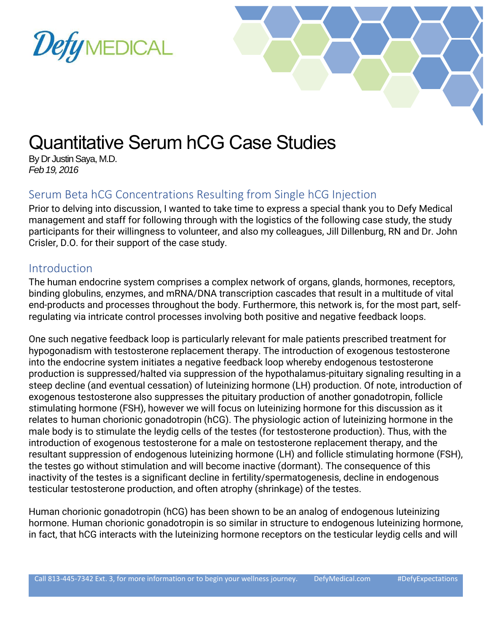



# Quantitative Serum hCG Case Studies

By Dr Justin Saya, M.D. *Feb 19, 2016*

## Serum Beta hCG Concentrations Resulting from Single hCG Injection

Prior to delving into discussion, I wanted to take time to express a special thank you to Defy Medical management and staff for following through with the logistics of the following case study, the study participants for their willingness to volunteer, and also my colleagues, Jill Dillenburg, RN and Dr. John Crisler, D.O. for their support of the case study.

#### **Introduction**

The human endocrine system comprises a complex network of organs, glands, hormones, receptors, binding globulins, enzymes, and mRNA/DNA transcription cascades that result in a multitude of vital end-products and processes throughout the body. Furthermore, this network is, for the most part, selfregulating via intricate control processes involving both positive and negative feedback loops.

One such negative feedback loop is particularly relevant for male patients prescribed treatment for hypogonadism with testosterone replacement therapy. The introduction of exogenous testosterone into the endocrine system initiates a negative feedback loop whereby endogenous testosterone production is suppressed/halted via suppression of the hypothalamus-pituitary signaling resulting in a steep decline (and eventual cessation) of luteinizing hormone (LH) production. Of note, introduction of exogenous testosterone also suppresses the pituitary production of another gonadotropin, follicle stimulating hormone (FSH), however we will focus on luteinizing hormone for this discussion as it relates to human chorionic gonadotropin (hCG). The physiologic action of luteinizing hormone in the male body is to stimulate the leydig cells of the testes (for testosterone production). Thus, with the introduction of exogenous testosterone for a male on testosterone replacement therapy, and the resultant suppression of endogenous luteinizing hormone (LH) and follicle stimulating hormone (FSH), the testes go without stimulation and will become inactive (dormant). The consequence of this inactivity of the testes is a significant decline in fertility/spermatogenesis, decline in endogenous testicular testosterone production, and often atrophy (shrinkage) of the testes.

Human chorionic gonadotropin (hCG) has been shown to be an analog of endogenous luteinizing hormone. Human chorionic gonadotropin is so similar in structure to endogenous luteinizing hormone, in fact, that hCG interacts with the luteinizing hormone receptors on the testicular leydig cells and will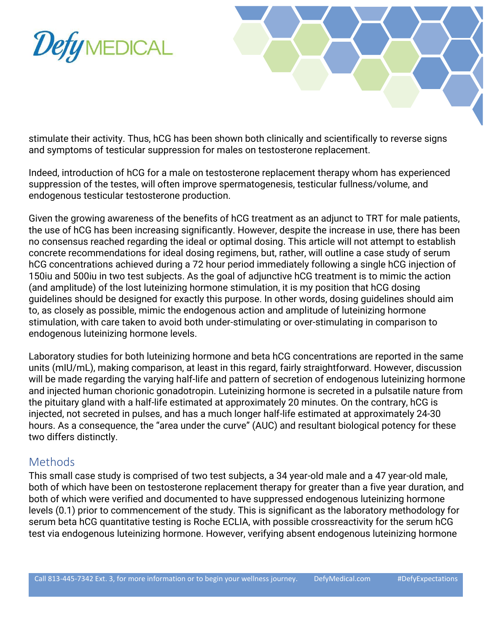



stimulate their activity. Thus, hCG has been shown both clinically and scientifically to reverse signs and symptoms of testicular suppression for males on testosterone replacement.

Indeed, introduction of hCG for a male on testosterone replacement therapy whom has experienced suppression of the testes, will often improve spermatogenesis, testicular fullness/volume, and endogenous testicular testosterone production.

Given the growing awareness of the benefits of hCG treatment as an adjunct to TRT for male patients, the use of hCG has been increasing significantly. However, despite the increase in use, there has been no consensus reached regarding the ideal or optimal dosing. This article will not attempt to establish concrete recommendations for ideal dosing regimens, but, rather, will outline a case study of serum hCG concentrations achieved during a 72 hour period immediately following a single hCG injection of 150iu and 500iu in two test subjects. As the goal of adjunctive hCG treatment is to mimic the action (and amplitude) of the lost luteinizing hormone stimulation, it is my position that hCG dosing guidelines should be designed for exactly this purpose. In other words, dosing guidelines should aim to, as closely as possible, mimic the endogenous action and amplitude of luteinizing hormone stimulation, with care taken to avoid both under-stimulating or over-stimulating in comparison to endogenous luteinizing hormone levels.

Laboratory studies for both luteinizing hormone and beta hCG concentrations are reported in the same units (mIU/mL), making comparison, at least in this regard, fairly straightforward. However, discussion will be made regarding the varying half-life and pattern of secretion of endogenous luteinizing hormone and injected human chorionic gonadotropin. Luteinizing hormone is secreted in a pulsatile nature from the pituitary gland with a half-life estimated at approximately 20 minutes. On the contrary, hCG is injected, not secreted in pulses, and has a much longer half-life estimated at approximately 24-30 hours. As a consequence, the "area under the curve" (AUC) and resultant biological potency for these two differs distinctly.

#### **Methods**

This small case study is comprised of two test subjects, a 34 year-old male and a 47 year-old male, both of which have been on testosterone replacement therapy for greater than a five year duration, and both of which were verified and documented to have suppressed endogenous luteinizing hormone levels (0.1) prior to commencement of the study. This is significant as the laboratory methodology for serum beta hCG quantitative testing is Roche ECLIA, with possible crossreactivity for the serum hCG test via endogenous luteinizing hormone. However, verifying absent endogenous luteinizing hormone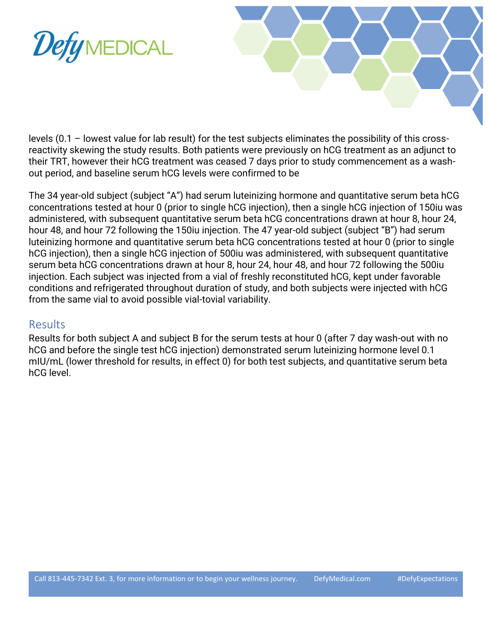



levels (0.1 – lowest value for lab result) for the test subjects eliminates the possibility of this crossreactivity skewing the study results. Both patients were previously on hCG treatment as an adjunct to their TRT, however their hCG treatment was ceased 7 days prior to study commencement as a washout period, and baseline serum hCG levels were confirmed to be

The 34 year-old subject (subject "A") had serum luteinizing hormone and quantitative serum beta hCG concentrations tested at hour 0 (prior to single hCG injection), then a single hCG injection of 150iu was administered, with subsequent quantitative serum beta hCG concentrations drawn at hour 8, hour 24, hour 48, and hour 72 following the 150iu injection. The 47 year-old subject (subject "B") had serum luteinizing hormone and quantitative serum beta hCG concentrations tested at hour 0 (prior to single hCG injection), then a single hCG injection of 500iu was administered, with subsequent quantitative serum beta hCG concentrations drawn at hour 8, hour 24, hour 48, and hour 72 following the 500iu injection. Each subject was injected from a vial of freshly reconstituted hCG, kept under favorable conditions and refrigerated throughout duration of study, and both subjects were injected with hCG from the same vial to avoid possible vial-tovial variability.

#### Results

Results for both subject A and subject B for the serum tests at hour 0 (after 7 day wash-out with no hCG and before the single test hCG injection) demonstrated serum luteinizing hormone level 0.1 mIU/mL (lower threshold for results, in effect 0) for both test subjects, and quantitative serum beta hCG level.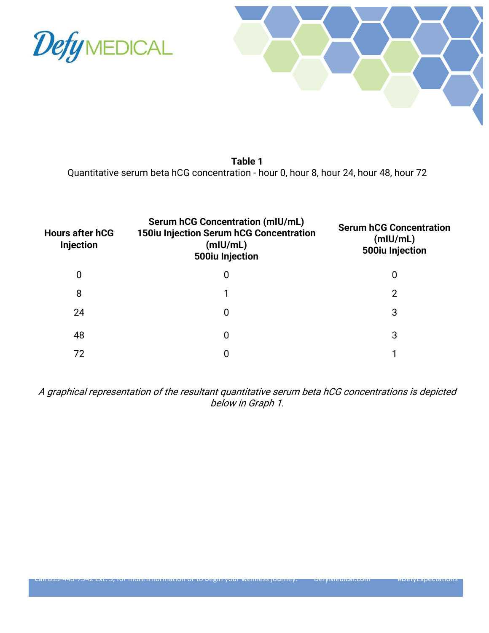



**Table 1** Quantitative serum beta hCG concentration - hour 0, hour 8, hour 24, hour 48, hour 72

| <b>Hours after hCG</b><br><b>Injection</b> | <b>Serum hCG Concentration (mIU/mL)</b><br><b>150iu Injection Serum hCG Concentration</b><br>(mIU/mL)<br>500iu Injection | <b>Serum hCG Concentration</b><br>(mIU/mL)<br>500iu Injection |
|--------------------------------------------|--------------------------------------------------------------------------------------------------------------------------|---------------------------------------------------------------|
| 0                                          | 0                                                                                                                        | 0                                                             |
| 8                                          |                                                                                                                          | 2                                                             |
| 24                                         | 0                                                                                                                        | 3                                                             |
| 48                                         | 0                                                                                                                        | 3                                                             |
| 72                                         | 0                                                                                                                        |                                                               |

A graphical representation of the resultant quantitative serum beta hCG concentrations is depicted below in Graph 1.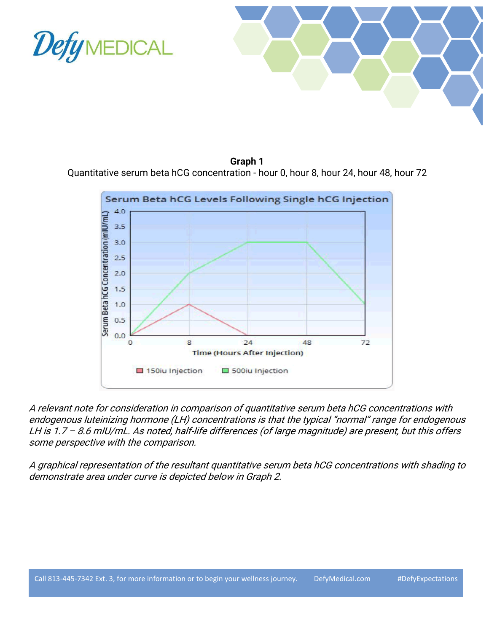



**Graph 1** Quantitative serum beta hCG concentration - hour 0, hour 8, hour 24, hour 48, hour 72



A relevant note for consideration in comparison of quantitative serum beta hCG concentrations with endogenous luteinizing hormone (LH) concentrations is that the typical "normal" range for endogenous LH is 1.7 – 8.6 mIU/mL. As noted, half-life differences (of large magnitude) are present, but this offers some perspective with the comparison.

A graphical representation of the resultant quantitative serum beta hCG concentrations with shading to demonstrate area under curve is depicted below in Graph 2.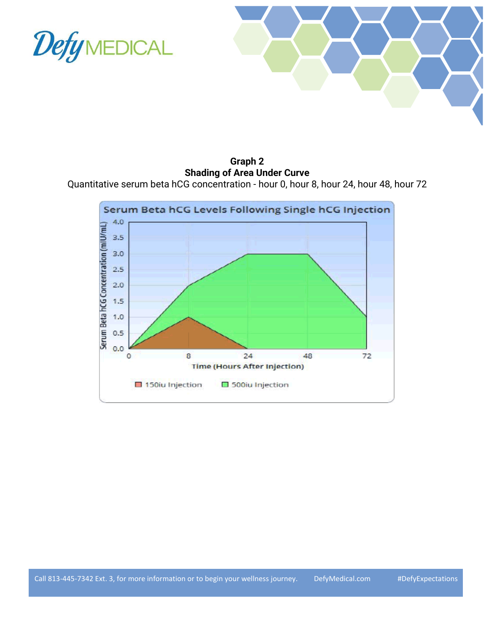



**Graph 2 Shading of Area Under Curve**

Quantitative serum beta hCG concentration - hour 0, hour 8, hour 24, hour 48, hour 72

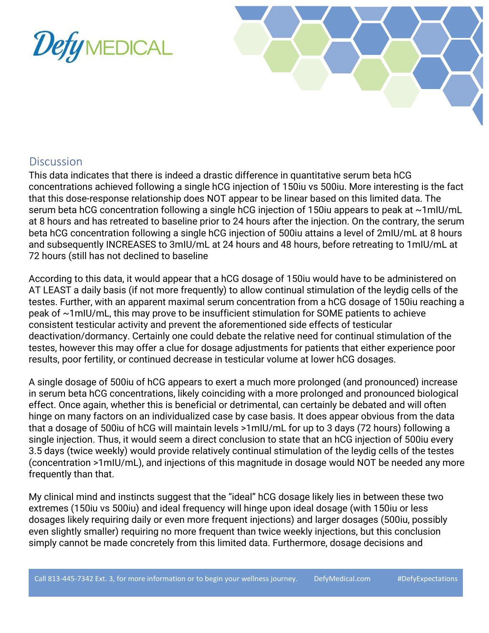



### **Discussion**

This data indicates that there is indeed a drastic difference in quantitative serum beta hCG concentrations achieved following a single hCG injection of 150iu vs 500iu. More interesting is the fact that this dose-response relationship does NOT appear to be linear based on this limited data. The serum beta hCG concentration following a single hCG injection of 150iu appears to peak at ~1mIU/mL at 8 hours and has retreated to baseline prior to 24 hours after the injection. On the contrary, the serum beta hCG concentration following a single hCG injection of 500iu attains a level of 2mIU/mL at 8 hours and subsequently INCREASES to 3mIU/mL at 24 hours and 48 hours, before retreating to 1mIU/mL at 72 hours (still has not declined to baseline

According to this data, it would appear that a hCG dosage of 150iu would have to be administered on AT LEAST a daily basis (if not more frequently) to allow continual stimulation of the leydig cells of the testes. Further, with an apparent maximal serum concentration from a hCG dosage of 150iu reaching a peak of ~1mIU/mL, this may prove to be insufficient stimulation for SOME patients to achieve consistent testicular activity and prevent the aforementioned side effects of testicular deactivation/dormancy. Certainly one could debate the relative need for continual stimulation of the testes, however this may offer a clue for dosage adjustments for patients that either experience poor results, poor fertility, or continued decrease in testicular volume at lower hCG dosages.

A single dosage of 500iu of hCG appears to exert a much more prolonged (and pronounced) increase in serum beta hCG concentrations, likely coinciding with a more prolonged and pronounced biological effect. Once again, whether this is beneficial or detrimental, can certainly be debated and will often hinge on many factors on an individualized case by case basis. It does appear obvious from the data that a dosage of 500iu of hCG will maintain levels >1mIU/mL for up to 3 days (72 hours) following a single injection. Thus, it would seem a direct conclusion to state that an hCG injection of 500iu every 3.5 days (twice weekly) would provide relatively continual stimulation of the leydig cells of the testes (concentration >1mIU/mL), and injections of this magnitude in dosage would NOT be needed any more frequently than that.

My clinical mind and instincts suggest that the "ideal" hCG dosage likely lies in between these two extremes (150iu vs 500iu) and ideal frequency will hinge upon ideal dosage (with 150iu or less dosages likely requiring daily or even more frequent injections) and larger dosages (500iu, possibly even slightly smaller) requiring no more frequent than twice weekly injections, but this conclusion simply cannot be made concretely from this limited data. Furthermore, dosage decisions and